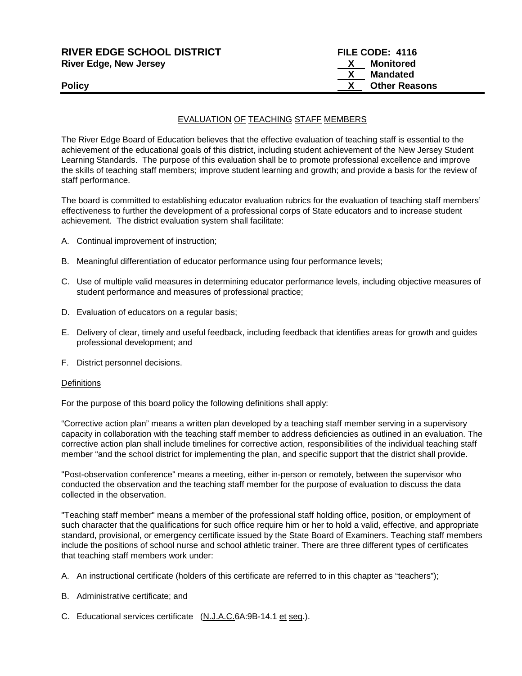| <b>RIVER EDGE SCHOOL DISTRICT</b> | FILE CODE: 4116      |
|-----------------------------------|----------------------|
| <b>River Edge, New Jersey</b>     | Monitored<br>X.      |
|                                   | Mandated             |
| <b>Policy</b>                     | <b>Other Reasons</b> |
|                                   |                      |

#### EVALUATION OF TEACHING STAFF MEMBERS

The River Edge Board of Education believes that the effective evaluation of teaching staff is essential to the achievement of the educational goals of this district, including student achievement of the New Jersey Student Learning Standards.The purpose of this evaluation shall be to promote professional excellence and improve the skills of teaching staff members; improve student learning and growth; and provide a basis for the review of staff performance.

The board is committed to establishing educator evaluation rubrics for the evaluation of teaching staff members' effectiveness to further the development of a professional corps of State educators and to increase student achievement. The district evaluation system shall facilitate:

- A. Continual improvement of instruction;
- B. Meaningful differentiation of educator performance using four performance levels;
- C. Use of multiple valid measures in determining educator performance levels, including objective measures of student performance and measures of professional practice;
- D. Evaluation of educators on a regular basis;
- E. Delivery of clear, timely and useful feedback, including feedback that identifies areas for growth and guides professional development; and
- F. District personnel decisions.

#### **Definitions**

For the purpose of this board policy the following definitions shall apply:

"Corrective action plan" means a written plan developed by a teaching staff member serving in a supervisory capacity in collaboration with the teaching staff member to address deficiencies as outlined in an evaluation. The corrective action plan shall include timelines for corrective action, responsibilities of the individual teaching staff member "and the school district for implementing the plan, and specific support that the district shall provide.

"Post-observation conference" means a meeting, either in-person or remotely, between the supervisor who conducted the observation and the teaching staff member for the purpose of evaluation to discuss the data collected in the observation.

"Teaching staff member" means a member of the professional staff holding office, position, or employment of such character that the qualifications for such office require him or her to hold a valid, effective, and appropriate standard, provisional, or emergency certificate issued by the State Board of Examiners. Teaching staff members include the positions of school nurse and school athletic trainer. There are three different types of certificates that teaching staff members work under:

- A. An instructional certificate (holders of this certificate are referred to in this chapter as "teachers");
- B. Administrative certificate; and
- C. Educational services certificate (N.J.A.C.6A:9B-14.1 et seq.).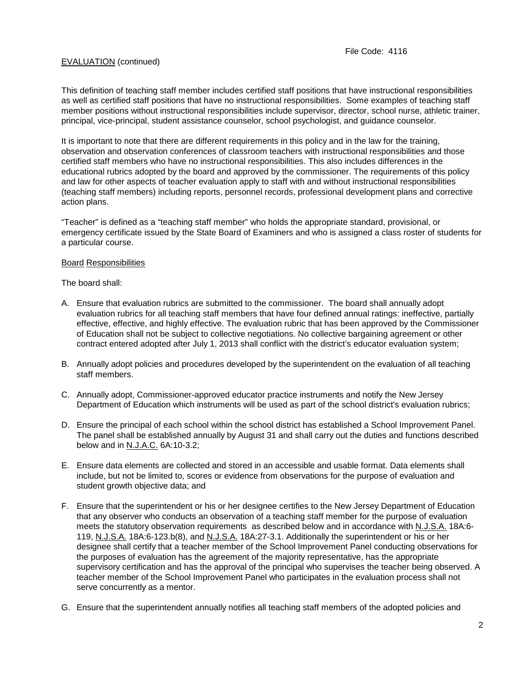This definition of teaching staff member includes certified staff positions that have instructional responsibilities as well as certified staff positions that have no instructional responsibilities. Some examples of teaching staff member positions without instructional responsibilities include supervisor, director, school nurse, athletic trainer, principal, vice-principal, student assistance counselor, school psychologist, and guidance counselor.

It is important to note that there are different requirements in this policy and in the law for the training, observation and observation conferences of classroom teachers with instructional responsibilities and those certified staff members who have no instructional responsibilities. This also includes differences in the educational rubrics adopted by the board and approved by the commissioner. The requirements of this policy and law for other aspects of teacher evaluation apply to staff with and without instructional responsibilities (teaching staff members) including reports, personnel records, professional development plans and corrective action plans.

"Teacher" is defined as a "teaching staff member" who holds the appropriate standard, provisional, or emergency certificate issued by the State Board of Examiners and who is assigned a class roster of students for a particular course.

#### Board Responsibilities

The board shall:

- A. Ensure that evaluation rubrics are submitted to the commissioner. The board shall annually adopt evaluation rubrics for all teaching staff members that have four defined annual ratings: ineffective, partially effective, effective, and highly effective. The evaluation rubric that has been approved by the Commissioner of Education shall not be subject to collective negotiations. No collective bargaining agreement or other contract entered adopted after July 1, 2013 shall conflict with the district's educator evaluation system;
- B. Annually adopt policies and procedures developed by the superintendent on the evaluation of all teaching staff members.
- C. Annually adopt, Commissioner-approved educator practice instruments and notify the New Jersey Department of Education which instruments will be used as part of the school district's evaluation rubrics;
- D. Ensure the principal of each school within the school district has established a School Improvement Panel. The panel shall be established annually by August 31 and shall carry out the duties and functions described below and in N.J.A.C. 6A:10-3.2;
- E. Ensure data elements are collected and stored in an accessible and usable format. Data elements shall include, but not be limited to, scores or evidence from observations for the purpose of evaluation and student growth objective data; and
- F. Ensure that the superintendent or his or her designee certifies to the New Jersey Department of Education that any observer who conducts an observation of a teaching staff member for the purpose of evaluation meets the statutory observation requirements as described below and in accordance with N.J.S.A. 18A:6- 119, N.J.S.A. 18A:6-123.b(8), and N.J.S.A. 18A:27-3.1. Additionally the superintendent or his or her designee shall certify that a teacher member of the School Improvement Panel conducting observations for the purposes of evaluation has the agreement of the majority representative, has the appropriate supervisory certification and has the approval of the principal who supervises the teacher being observed. A teacher member of the School Improvement Panel who participates in the evaluation process shall not serve concurrently as a mentor.
- G. Ensure that the superintendent annually notifies all teaching staff members of the adopted policies and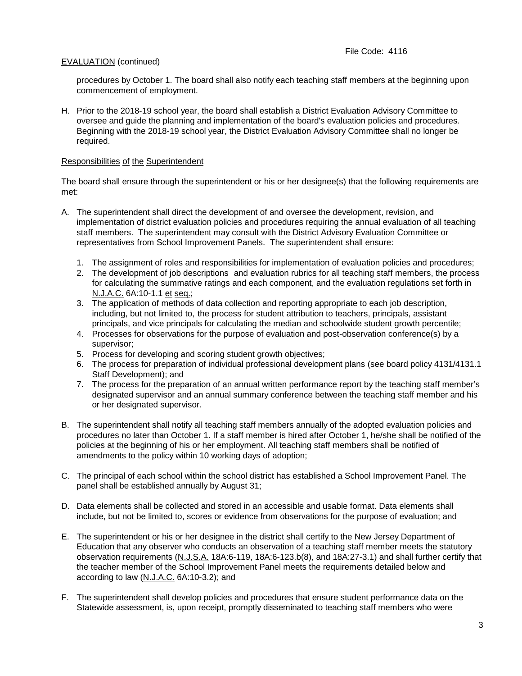procedures by October 1. The board shall also notify each teaching staff members at the beginning upon commencement of employment.

H. Prior to the 2018-19 school year, the board shall establish a District Evaluation Advisory Committee to oversee and guide the planning and implementation of the board's evaluation policies and procedures. Beginning with the 2018-19 school year, the District Evaluation Advisory Committee shall no longer be required.

# Responsibilities of the Superintendent

The board shall ensure through the superintendent or his or her designee(s) that the following requirements are met:

- A. The superintendent shall direct the development of and oversee the development, revision, and implementation of district evaluation policies and procedures requiring the annual evaluation of all teaching staff members. The superintendent may consult with the District Advisory Evaluation Committee or representatives from School Improvement Panels. The superintendent shall ensure:
	- 1. The assignment of roles and responsibilities for implementation of evaluation policies and procedures;
	- 2. The development of job descriptions and evaluation rubrics for all teaching staff members, the process for calculating the summative ratings and each component, and the evaluation regulations set forth in N.J.A.C. 6A:10-1.1 et seq.;
	- 3. The application of methods of data collection and reporting appropriate to each job description, including, but not limited to, the process for student attribution to teachers, principals, assistant principals, and vice principals for calculating the median and schoolwide student growth percentile;
	- 4. Processes for observations for the purpose of evaluation and post-observation conference(s) by a supervisor;
	- 5. Process for developing and scoring student growth objectives;
	- 6. The process for preparation of individual professional development plans (see board policy 4131/4131.1 Staff Development); and
	- 7. The process for the preparation of an annual written performance report by the teaching staff member's designated supervisor and an annual summary conference between the teaching staff member and his or her designated supervisor.
- B. The superintendent shall notify all teaching staff members annually of the adopted evaluation policies and procedures no later than October 1. If a staff member is hired after October 1, he/she shall be notified of the policies at the beginning of his or her employment. All teaching staff members shall be notified of amendments to the policy within 10 working days of adoption;
- C. The principal of each school within the school district has established a School Improvement Panel. The panel shall be established annually by August 31;
- D. Data elements shall be collected and stored in an accessible and usable format. Data elements shall include, but not be limited to, scores or evidence from observations for the purpose of evaluation; and
- E. The superintendent or his or her designee in the district shall certify to the New Jersey Department of Education that any observer who conducts an observation of a teaching staff member meets the statutory observation requirements (N.J.S.A. 18A:6-119, 18A:6-123.b(8), and 18A:27-3.1) and shall further certify that the teacher member of the School Improvement Panel meets the requirements detailed below and according to law (N.J.A.C. 6A:10-3.2); and
- F. The superintendent shall develop policies and procedures that ensure student performance data on the Statewide assessment, is, upon receipt, promptly disseminated to teaching staff members who were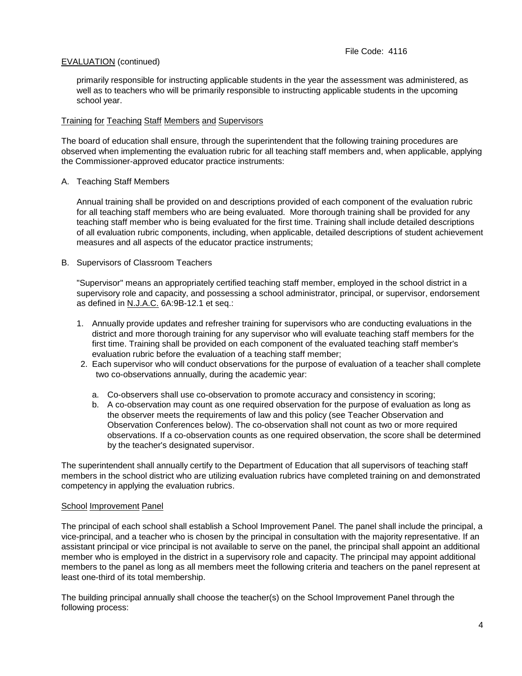primarily responsible for instructing applicable students in the year the assessment was administered, as well as to teachers who will be primarily responsible to instructing applicable students in the upcoming school year.

### Training for Teaching Staff Members and Supervisors

The board of education shall ensure, through the superintendent that the following training procedures are observed when implementing the evaluation rubric for all teaching staff members and, when applicable, applying the Commissioner-approved educator practice instruments:

### A. Teaching Staff Members

Annual training shall be provided on and descriptions provided of each component of the evaluation rubric for all teaching staff members who are being evaluated. More thorough training shall be provided for any teaching staff member who is being evaluated for the first time. Training shall include detailed descriptions of all evaluation rubric components, including, when applicable, detailed descriptions of student achievement measures and all aspects of the educator practice instruments;

### B. Supervisors of Classroom Teachers

"Supervisor" means an appropriately certified teaching staff member, employed in the school district in a supervisory role and capacity, and possessing a school administrator, principal, or supervisor, endorsement as defined in N.J.A.C. 6A:9B-12.1 et seq.:

- 1. Annually provide updates and refresher training for supervisors who are conducting evaluations in the district and more thorough training for any supervisor who will evaluate teaching staff members for the first time. Training shall be provided on each component of the evaluated teaching staff member's evaluation rubric before the evaluation of a teaching staff member;
- 2. Each supervisor who will conduct observations for the purpose of evaluation of a teacher shall complete two co-observations annually, during the academic year:
	- a. Co-observers shall use co-observation to promote accuracy and consistency in scoring;
	- b. A co-observation may count as one required observation for the purpose of evaluation as long as the observer meets the requirements of law and this policy (see Teacher Observation and Observation Conferences below). The co-observation shall not count as two or more required observations. If a co-observation counts as one required observation, the score shall be determined by the teacher's designated supervisor.

The superintendent shall annually certify to the Department of Education that all supervisors of teaching staff members in the school district who are utilizing evaluation rubrics have completed training on and demonstrated competency in applying the evaluation rubrics.

### School Improvement Panel

The principal of each school shall establish a School Improvement Panel. The panel shall include the principal, a vice-principal, and a teacher who is chosen by the principal in consultation with the majority representative. If an assistant principal or vice principal is not available to serve on the panel, the principal shall appoint an additional member who is employed in the district in a supervisory role and capacity. The principal may appoint additional members to the panel as long as all members meet the following criteria and teachers on the panel represent at least one-third of its total membership.

The building principal annually shall choose the teacher(s) on the School Improvement Panel through the following process: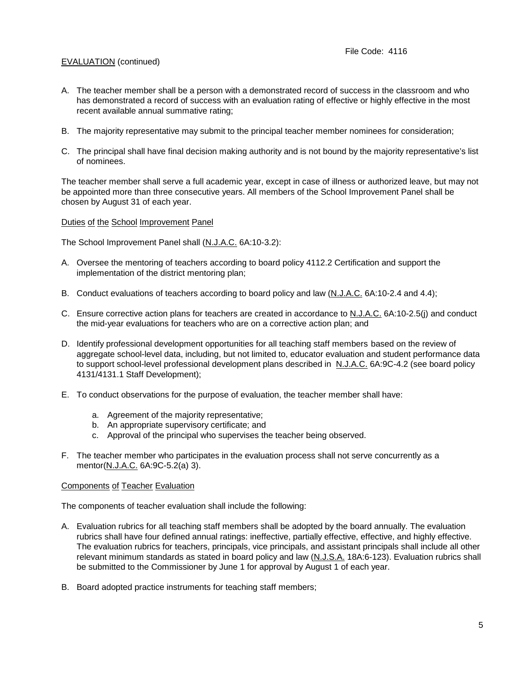- A. The teacher member shall be a person with a demonstrated record of success in the classroom and who has demonstrated a record of success with an evaluation rating of effective or highly effective in the most recent available annual summative rating;
- B. The majority representative may submit to the principal teacher member nominees for consideration;
- C. The principal shall have final decision making authority and is not bound by the majority representative's list of nominees.

The teacher member shall serve a full academic year, except in case of illness or authorized leave, but may not be appointed more than three consecutive years. All members of the School Improvement Panel shall be chosen by August 31 of each year.

#### Duties of the School Improvement Panel

The School Improvement Panel shall (N.J.A.C. 6A:10-3.2):

- A. Oversee the mentoring of teachers according to board policy 4112.2 Certification and support the implementation of the district mentoring plan;
- B. Conduct evaluations of teachers according to board policy and law (N.J.A.C. 6A:10-2.4 and 4.4);
- C. Ensure corrective action plans for teachers are created in accordance to N.J.A.C. 6A:10-2.5(j) and conduct the mid-year evaluations for teachers who are on a corrective action plan; and
- D. Identify professional development opportunities for all teaching staff members based on the review of aggregate school-level data, including, but not limited to, educator evaluation and student performance data to support school-level professional development plans described in N.J.A.C. 6A:9C-4.2 (see board policy 4131/4131.1 Staff Development);
- E. To conduct observations for the purpose of evaluation, the teacher member shall have:
	- a. Agreement of the majority representative;
	- b. An appropriate supervisory certificate; and
	- c. Approval of the principal who supervises the teacher being observed.
- F. The teacher member who participates in the evaluation process shall not serve concurrently as a mentor(N.J.A.C. 6A:9C-5.2(a) 3).

### Components of Teacher Evaluation

The components of teacher evaluation shall include the following:

- A. Evaluation rubrics for all teaching staff members shall be adopted by the board annually. The evaluation rubrics shall have four defined annual ratings: ineffective, partially effective, effective, and highly effective. The evaluation rubrics for teachers, principals, vice principals, and assistant principals shall include all other relevant minimum standards as stated in board policy and law (N.J.S.A. 18A:6-123). Evaluation rubrics shall be submitted to the Commissioner by June 1 for approval by August 1 of each year.
- B. Board adopted practice instruments for teaching staff members;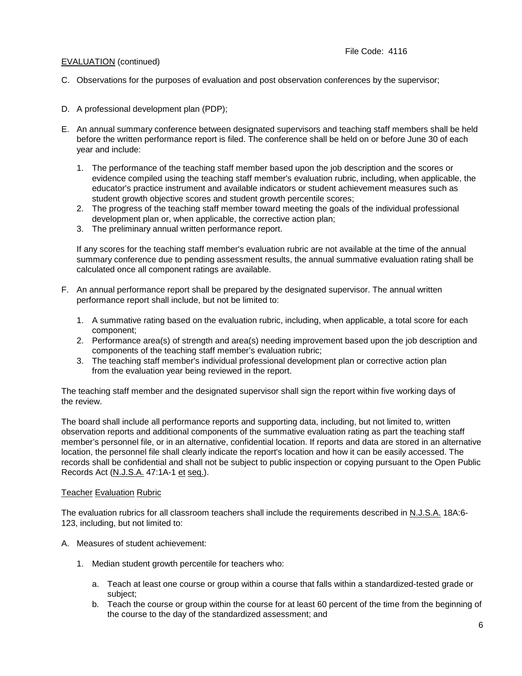- C. Observations for the purposes of evaluation and post observation conferences by the supervisor;
- D. A professional development plan (PDP);
- E. An annual summary conference between designated supervisors and teaching staff members shall be held before the written performance report is filed. The conference shall be held on or before June 30 of each year and include:
	- 1. The performance of the teaching staff member based upon the job description and the scores or evidence compiled using the teaching staff member's evaluation rubric, including, when applicable, the educator's practice instrument and available indicators or student achievement measures such as student growth objective scores and student growth percentile scores;
	- 2. The progress of the teaching staff member toward meeting the goals of the individual professional development plan or, when applicable, the corrective action plan;
	- 3. The preliminary annual written performance report.

If any scores for the teaching staff member's evaluation rubric are not available at the time of the annual summary conference due to pending assessment results, the annual summative evaluation rating shall be calculated once all component ratings are available.

- F. An annual performance report shall be prepared by the designated supervisor. The annual written performance report shall include, but not be limited to:
	- 1. A summative rating based on the evaluation rubric, including, when applicable, a total score for each component;
	- 2. Performance area(s) of strength and area(s) needing improvement based upon the job description and components of the teaching staff member's evaluation rubric;
	- 3. The teaching staff member's individual professional development plan or corrective action plan from the evaluation year being reviewed in the report.

The teaching staff member and the designated supervisor shall sign the report within five working days of the review.

The board shall include all performance reports and supporting data, including, but not limited to, written observation reports and additional components of the summative evaluation rating as part the teaching staff member's personnel file, or in an alternative, confidential location. If reports and data are stored in an alternative location, the personnel file shall clearly indicate the report's location and how it can be easily accessed. The records shall be confidential and shall not be subject to public inspection or copying pursuant to the Open Public Records Act (N.J.S.A. 47:1A-1 et seq.).

### **Teacher Evaluation Rubric**

The evaluation rubrics for all classroom teachers shall include the requirements described in N.J.S.A. 18A:6- 123, including, but not limited to:

- A. Measures of student achievement:
	- 1. Median student growth percentile for teachers who:
		- a. Teach at least one course or group within a course that falls within a standardized-tested grade or subject;
		- b. Teach the course or group within the course for at least 60 percent of the time from the beginning of the course to the day of the standardized assessment; and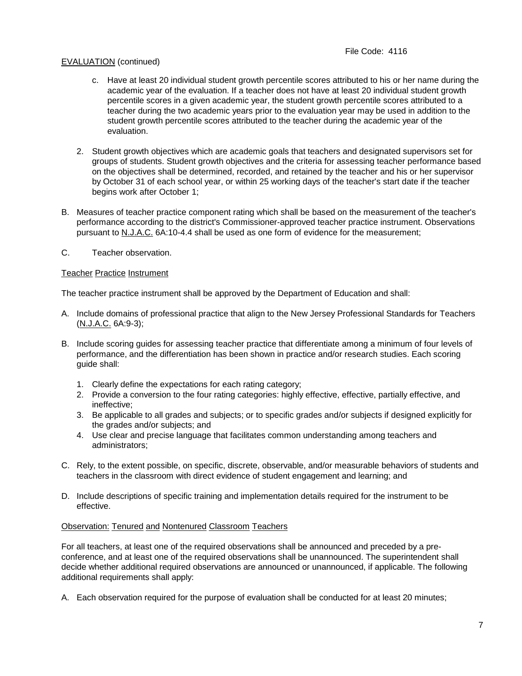- c. Have at least 20 individual student growth percentile scores attributed to his or her name during the academic year of the evaluation. If a teacher does not have at least 20 individual student growth percentile scores in a given academic year, the student growth percentile scores attributed to a teacher during the two academic years prior to the evaluation year may be used in addition to the student growth percentile scores attributed to the teacher during the academic year of the evaluation.
- 2. Student growth objectives which are academic goals that teachers and designated supervisors set for groups of students. Student growth objectives and the criteria for assessing teacher performance based on the objectives shall be determined, recorded, and retained by the teacher and his or her supervisor by October 31 of each school year, or within 25 working days of the teacher's start date if the teacher begins work after October 1;
- B. Measures of teacher practice component rating which shall be based on the measurement of the teacher's performance according to the district's Commissioner-approved teacher practice instrument. Observations pursuant to N.J.A.C. 6A:10-4.4 shall be used as one form of evidence for the measurement;
- C. Teacher observation.

## Teacher Practice Instrument

The teacher practice instrument shall be approved by the Department of Education and shall:

- A. Include domains of professional practice that align to the New Jersey Professional Standards for Teachers (N.J.A.C. 6A:9-3);
- B. Include scoring guides for assessing teacher practice that differentiate among a minimum of four levels of performance, and the differentiation has been shown in practice and/or research studies. Each scoring guide shall:
	- 1. Clearly define the expectations for each rating category;
	- 2. Provide a conversion to the four rating categories: highly effective, effective, partially effective, and ineffective;
	- 3. Be applicable to all grades and subjects; or to specific grades and/or subjects if designed explicitly for the grades and/or subjects; and
	- 4. Use clear and precise language that facilitates common understanding among teachers and administrators;
- C. Rely, to the extent possible, on specific, discrete, observable, and/or measurable behaviors of students and teachers in the classroom with direct evidence of student engagement and learning; and
- D. Include descriptions of specific training and implementation details required for the instrument to be effective.

### Observation: Tenured and Nontenured Classroom Teachers

For all teachers, at least one of the required observations shall be announced and preceded by a preconference, and at least one of the required observations shall be unannounced. The superintendent shall decide whether additional required observations are announced or unannounced, if applicable. The following additional requirements shall apply:

A. Each observation required for the purpose of evaluation shall be conducted for at least 20 minutes;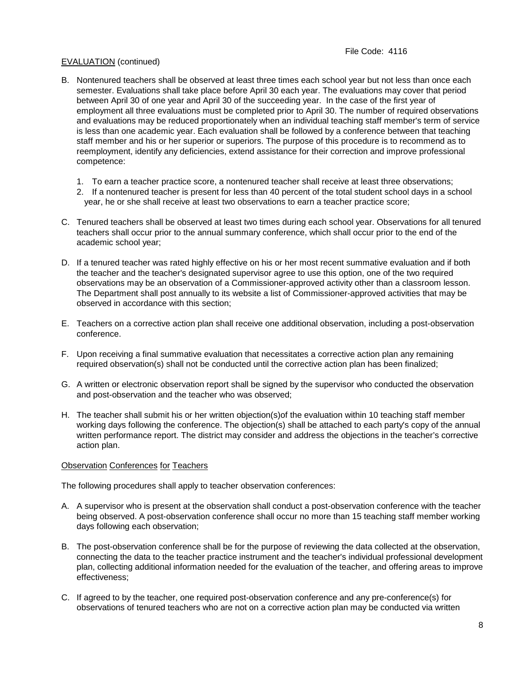- B. Nontenured teachers shall be observed at least three times each school year but not less than once each semester. Evaluations shall take place before April 30 each year. The evaluations may cover that period between April 30 of one year and April 30 of the succeeding year. In the case of the first year of employment all three evaluations must be completed prior to April 30. The number of required observations and evaluations may be reduced proportionately when an individual teaching staff member's term of service is less than one academic year. Each evaluation shall be followed by a conference between that teaching staff member and his or her superior or superiors. The purpose of this procedure is to recommend as to reemployment, identify any deficiencies, extend assistance for their correction and improve professional competence:
	- 1. To earn a teacher practice score, a nontenured teacher shall receive at least three observations;
	- 2. If a nontenured teacher is present for less than 40 percent of the total student school days in a school year, he or she shall receive at least two observations to earn a teacher practice score;
- C. Tenured teachers shall be observed at least two times during each school year. Observations for all tenured teachers shall occur prior to the annual summary conference, which shall occur prior to the end of the academic school year;
- D. If a tenured teacher was rated highly effective on his or her most recent summative evaluation and if both the teacher and the teacher's designated supervisor agree to use this option, one of the two required observations may be an observation of a Commissioner-approved activity other than a classroom lesson. The Department shall post annually to its website a list of Commissioner-approved activities that may be observed in accordance with this section;
- E. Teachers on a corrective action plan shall receive one additional observation, including a post-observation conference.
- F. Upon receiving a final summative evaluation that necessitates a corrective action plan any remaining required observation(s) shall not be conducted until the corrective action plan has been finalized;
- G. A written or electronic observation report shall be signed by the supervisor who conducted the observation and post-observation and the teacher who was observed;
- H. The teacher shall submit his or her written objection(s)of the evaluation within 10 teaching staff member working days following the conference. The objection(s) shall be attached to each party's copy of the annual written performance report. The district may consider and address the objections in the teacher's corrective action plan.

### Observation Conferences for Teachers

The following procedures shall apply to teacher observation conferences:

- A. A supervisor who is present at the observation shall conduct a post-observation conference with the teacher being observed. A post-observation conference shall occur no more than 15 teaching staff member working days following each observation;
- B. The post-observation conference shall be for the purpose of reviewing the data collected at the observation, connecting the data to the teacher practice instrument and the teacher's individual professional development plan, collecting additional information needed for the evaluation of the teacher, and offering areas to improve effectiveness;
- C. If agreed to by the teacher, one required post-observation conference and any pre-conference(s) for observations of tenured teachers who are not on a corrective action plan may be conducted via written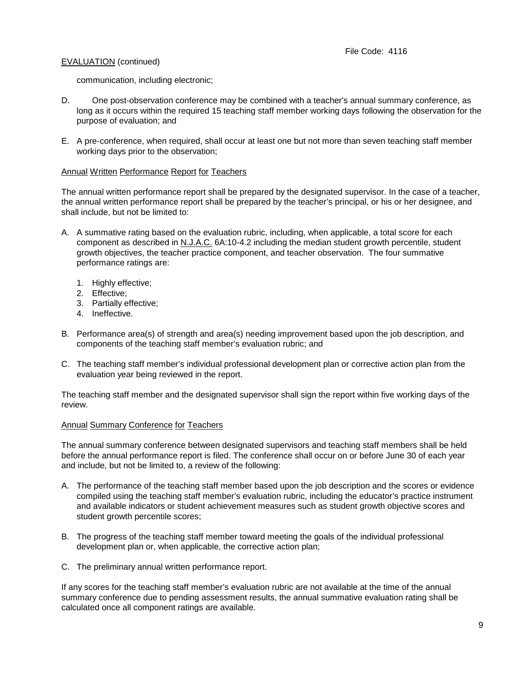communication, including electronic;

- D. One post-observation conference may be combined with a teacher's annual summary conference, as long as it occurs within the required 15 teaching staff member working days following the observation for the purpose of evaluation; and
- E. A pre-conference, when required, shall occur at least one but not more than seven teaching staff member working days prior to the observation;

### Annual Written Performance Report for Teachers

The annual written performance report shall be prepared by the designated supervisor. In the case of a teacher, the annual written performance report shall be prepared by the teacher's principal, or his or her designee, and shall include, but not be limited to:

- A. A summative rating based on the evaluation rubric, including, when applicable, a total score for each component as described in N.J.A.C. 6A:10-4.2 including the median student growth percentile, student growth objectives, the teacher practice component, and teacher observation. The four summative performance ratings are:
	- 1. Highly effective;
	- 2. Effective;
	- 3. Partially effective;
	- 4. Ineffective.
- B. Performance area(s) of strength and area(s) needing improvement based upon the job description, and components of the teaching staff member's evaluation rubric; and
- C. The teaching staff member's individual professional development plan or corrective action plan from the evaluation year being reviewed in the report.

The teaching staff member and the designated supervisor shall sign the report within five working days of the review.

#### Annual Summary Conference for Teachers

The annual summary conference between designated supervisors and teaching staff members shall be held before the annual performance report is filed. The conference shall occur on or before June 30 of each year and include, but not be limited to, a review of the following:

- A. The performance of the teaching staff member based upon the job description and the scores or evidence compiled using the teaching staff member's evaluation rubric, including the educator's practice instrument and available indicators or student achievement measures such as student growth objective scores and student growth percentile scores;
- B. The progress of the teaching staff member toward meeting the goals of the individual professional development plan or, when applicable, the corrective action plan;
- C. The preliminary annual written performance report.

If any scores for the teaching staff member's evaluation rubric are not available at the time of the annual summary conference due to pending assessment results, the annual summative evaluation rating shall be calculated once all component ratings are available.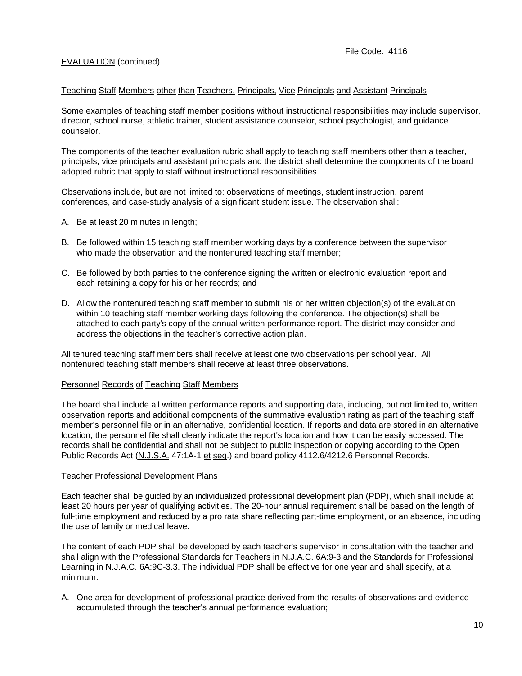#### Teaching Staff Members other than Teachers, Principals, Vice Principals and Assistant Principals

Some examples of teaching staff member positions without instructional responsibilities may include supervisor, director, school nurse, athletic trainer, student assistance counselor, school psychologist, and guidance counselor.

The components of the teacher evaluation rubric shall apply to teaching staff members other than a teacher, principals, vice principals and assistant principals and the district shall determine the components of the board adopted rubric that apply to staff without instructional responsibilities.

Observations include, but are not limited to: observations of meetings, student instruction, parent conferences, and case-study analysis of a significant student issue. The observation shall:

- A. Be at least 20 minutes in length;
- B. Be followed within 15 teaching staff member working days by a conference between the supervisor who made the observation and the nontenured teaching staff member;
- C. Be followed by both parties to the conference signing the written or electronic evaluation report and each retaining a copy for his or her records; and
- D. Allow the nontenured teaching staff member to submit his or her written objection(s) of the evaluation within 10 teaching staff member working days following the conference. The objection(s) shall be attached to each party's copy of the annual written performance report. The district may consider and address the objections in the teacher's corrective action plan.

All tenured teaching staff members shall receive at least one two observations per school year. All nontenured teaching staff members shall receive at least three observations.

#### Personnel Records of Teaching Staff Members

The board shall include all written performance reports and supporting data, including, but not limited to, written observation reports and additional components of the summative evaluation rating as part of the teaching staff member's personnel file or in an alternative, confidential location. If reports and data are stored in an alternative location, the personnel file shall clearly indicate the report's location and how it can be easily accessed. The records shall be confidential and shall not be subject to public inspection or copying according to the Open Public Records Act (N.J.S.A. 47:1A-1 et seq.) and board policy 4112.6/4212.6 Personnel Records.

#### Teacher Professional Development Plans

Each teacher shall be guided by an individualized professional development plan (PDP), which shall include at least 20 hours per year of qualifying activities. The 20-hour annual requirement shall be based on the length of full-time employment and reduced by a pro rata share reflecting part-time employment, or an absence, including the use of family or medical leave.

The content of each PDP shall be developed by each teacher's supervisor in consultation with the teacher and shall align with the Professional Standards for Teachers in N.J.A.C. 6A:9-3 and the Standards for Professional Learning in N.J.A.C. 6A:9C-3.3. The individual PDP shall be effective for one year and shall specify, at a minimum:

A. One area for development of professional practice derived from the results of observations and evidence accumulated through the teacher's annual performance evaluation;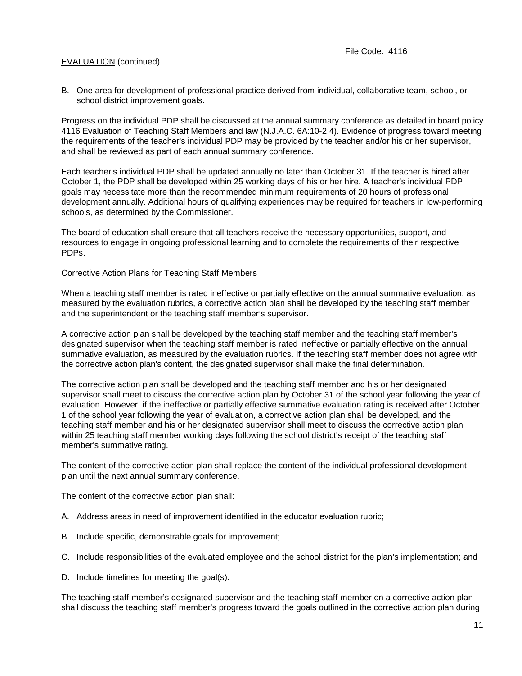B. One area for development of professional practice derived from individual, collaborative team, school, or school district improvement goals.

Progress on the individual PDP shall be discussed at the annual summary conference as detailed in board policy 4116 Evaluation of Teaching Staff Members and law (N.J.A.C. 6A:10-2.4). Evidence of progress toward meeting the requirements of the teacher's individual PDP may be provided by the teacher and/or his or her supervisor, and shall be reviewed as part of each annual summary conference.

Each teacher's individual PDP shall be updated annually no later than October 31. If the teacher is hired after October 1, the PDP shall be developed within 25 working days of his or her hire. A teacher's individual PDP goals may necessitate more than the recommended minimum requirements of 20 hours of professional development annually. Additional hours of qualifying experiences may be required for teachers in low-performing schools, as determined by the Commissioner.

The board of education shall ensure that all teachers receive the necessary opportunities, support, and resources to engage in ongoing professional learning and to complete the requirements of their respective PDPs.

#### Corrective Action Plans for Teaching Staff Members

When a teaching staff member is rated ineffective or partially effective on the annual summative evaluation, as measured by the evaluation rubrics, a corrective action plan shall be developed by the teaching staff member and the superintendent or the teaching staff member's supervisor.

A corrective action plan shall be developed by the teaching staff member and the teaching staff member's designated supervisor when the teaching staff member is rated ineffective or partially effective on the annual summative evaluation, as measured by the evaluation rubrics. If the teaching staff member does not agree with the corrective action plan's content, the designated supervisor shall make the final determination.

The corrective action plan shall be developed and the teaching staff member and his or her designated supervisor shall meet to discuss the corrective action plan by October 31 of the school year following the year of evaluation. However, if the ineffective or partially effective summative evaluation rating is received after October 1 of the school year following the year of evaluation, a corrective action plan shall be developed, and the teaching staff member and his or her designated supervisor shall meet to discuss the corrective action plan within 25 teaching staff member working days following the school district's receipt of the teaching staff member's summative rating.

The content of the corrective action plan shall replace the content of the individual professional development plan until the next annual summary conference.

The content of the corrective action plan shall:

- A. Address areas in need of improvement identified in the educator evaluation rubric;
- B. Include specific, demonstrable goals for improvement;
- C. Include responsibilities of the evaluated employee and the school district for the plan's implementation; and
- D. Include timelines for meeting the goal(s).

The teaching staff member's designated supervisor and the teaching staff member on a corrective action plan shall discuss the teaching staff member's progress toward the goals outlined in the corrective action plan during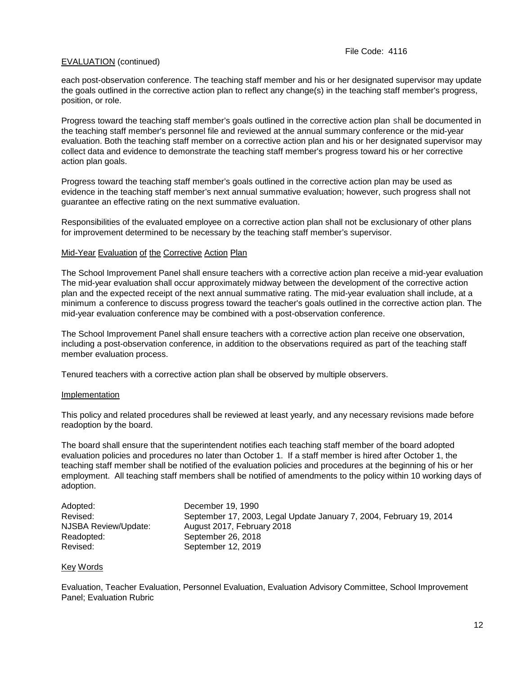each post-observation conference. The teaching staff member and his or her designated supervisor may update the goals outlined in the corrective action plan to reflect any change(s) in the teaching staff member's progress, position, or role.

Progress toward the teaching staff member's goals outlined in the corrective action plan shall be documented in the teaching staff member's personnel file and reviewed at the annual summary conference or the mid-year evaluation. Both the teaching staff member on a corrective action plan and his or her designated supervisor may collect data and evidence to demonstrate the teaching staff member's progress toward his or her corrective action plan goals.

Progress toward the teaching staff member's goals outlined in the corrective action plan may be used as evidence in the teaching staff member's next annual summative evaluation; however, such progress shall not guarantee an effective rating on the next summative evaluation.

Responsibilities of the evaluated employee on a corrective action plan shall not be exclusionary of other plans for improvement determined to be necessary by the teaching staff member's supervisor.

#### Mid-Year Evaluation of the Corrective Action Plan

The School Improvement Panel shall ensure teachers with a corrective action plan receive a mid-year evaluation The mid-year evaluation shall occur approximately midway between the development of the corrective action plan and the expected receipt of the next annual summative rating. The mid-year evaluation shall include, at a minimum a conference to discuss progress toward the teacher's goals outlined in the corrective action plan. The mid-year evaluation conference may be combined with a post-observation conference.

The School Improvement Panel shall ensure teachers with a corrective action plan receive one observation, including a post-observation conference, in addition to the observations required as part of the teaching staff member evaluation process.

Tenured teachers with a corrective action plan shall be observed by multiple observers.

#### **Implementation**

This policy and related procedures shall be reviewed at least yearly, and any necessary revisions made before readoption by the board.

The board shall ensure that the superintendent notifies each teaching staff member of the board adopted evaluation policies and procedures no later than October 1. If a staff member is hired after October 1, the teaching staff member shall be notified of the evaluation policies and procedures at the beginning of his or her employment. All teaching staff members shall be notified of amendments to the policy within 10 working days of adoption.

| Adopted:             | December 19, 1990                                                   |
|----------------------|---------------------------------------------------------------------|
| Revised:             | September 17, 2003, Legal Update January 7, 2004, February 19, 2014 |
| NJSBA Review/Update: | August 2017, February 2018                                          |
| Readopted:           | September 26, 2018                                                  |
| Revised:             | September 12, 2019                                                  |

#### Key Words

Evaluation, Teacher Evaluation, Personnel Evaluation, Evaluation Advisory Committee, School Improvement Panel; Evaluation Rubric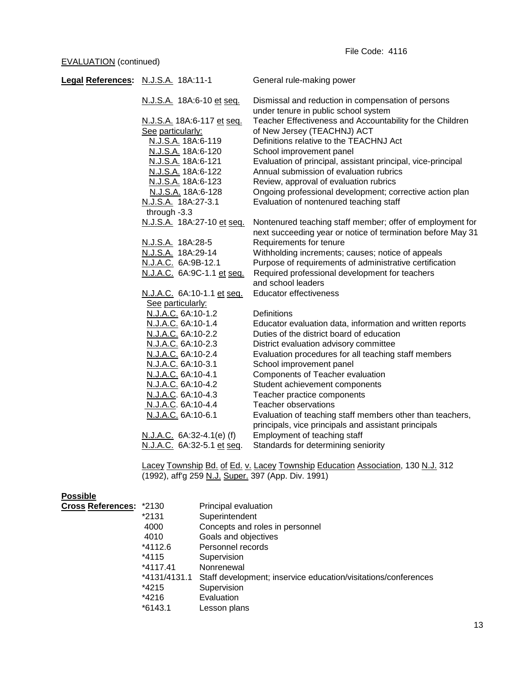| Legal References: N.J.S.A. 18A:11-1 |                            | General rule-making power                                                                                                |
|-------------------------------------|----------------------------|--------------------------------------------------------------------------------------------------------------------------|
|                                     | N.J.S.A. 18A:6-10 et seq.  | Dismissal and reduction in compensation of persons<br>under tenure in public school system                               |
|                                     | N.J.S.A. 18A:6-117 et seq. | Teacher Effectiveness and Accountability for the Children                                                                |
|                                     | See particularly:          | of New Jersey (TEACHNJ) ACT                                                                                              |
|                                     | N.J.S.A. 18A:6-119         | Definitions relative to the TEACHNJ Act                                                                                  |
|                                     | N.J.S.A. 18A:6-120         | School improvement panel                                                                                                 |
|                                     | N.J.S.A. 18A:6-121         | Evaluation of principal, assistant principal, vice-principal                                                             |
|                                     | N.J.S.A. 18A:6-122         | Annual submission of evaluation rubrics                                                                                  |
|                                     | N.J.S.A. 18A:6-123         | Review, approval of evaluation rubrics                                                                                   |
|                                     | N.J.S.A. 18A:6-128         | Ongoing professional development; corrective action plan                                                                 |
|                                     | N.J.S.A. 18A:27-3.1        | Evaluation of nontenured teaching staff                                                                                  |
|                                     | through -3.3               |                                                                                                                          |
|                                     | N.J.S.A. 18A:27-10 et seq. | Nontenured teaching staff member; offer of employment for<br>next succeeding year or notice of termination before May 31 |
|                                     | N.J.S.A. 18A:28-5          | Requirements for tenure                                                                                                  |
|                                     | N.J.S.A. 18A:29-14         | Withholding increments; causes; notice of appeals                                                                        |
|                                     | N.J.A.C. 6A:9B-12.1        | Purpose of requirements of administrative certification                                                                  |
|                                     | N.J.A.C. 6A:9C-1.1 et seq. | Required professional development for teachers                                                                           |
|                                     |                            | and school leaders                                                                                                       |
|                                     | N.J.A.C. 6A:10-1.1 et seq. | <b>Educator effectiveness</b>                                                                                            |
|                                     | See particularly:          |                                                                                                                          |
|                                     | N.J.A.C. 6A:10-1.2         | Definitions                                                                                                              |
|                                     | N.J.A.C. 6A:10-1.4         | Educator evaluation data, information and written reports                                                                |
|                                     | N.J.A.C. 6A:10-2.2         | Duties of the district board of education                                                                                |
|                                     | N.J.A.C. 6A:10-2.3         | District evaluation advisory committee                                                                                   |
|                                     | N.J.A.C. 6A:10-2.4         | Evaluation procedures for all teaching staff members                                                                     |
|                                     | N.J.A.C. 6A:10-3.1         | School improvement panel                                                                                                 |
|                                     | N.J.A.C. 6A:10-4.1         | Components of Teacher evaluation                                                                                         |
|                                     | N.J.A.C. 6A:10-4.2         | Student achievement components                                                                                           |
|                                     | N.J.A.C. 6A:10-4.3         | Teacher practice components                                                                                              |
|                                     | N.J.A.C. 6A:10-4.4         | <b>Teacher observations</b>                                                                                              |
|                                     | N.J.A.C. 6A:10-6.1         | Evaluation of teaching staff members other than teachers,<br>principals, vice principals and assistant principals        |
|                                     | N.J.A.C. 6A:32-4.1(e) (f)  | Employment of teaching staff                                                                                             |
|                                     | N.J.A.C. 6A:32-5.1 et seq. | Standards for determining seniority                                                                                      |
|                                     |                            |                                                                                                                          |

<u>Lacey Township Bd. of Ed. v. Lacey Township Education Association,</u> 130 <u>N.J.</u> 312 (1992), aff'g 259 <u>N.J. Super.</u> 397 (App. Div. 1991)

# **Possible**

| Cross References: *2130 |              | Principal evaluation                                           |
|-------------------------|--------------|----------------------------------------------------------------|
|                         | *2131        | Superintendent                                                 |
|                         | 4000         | Concepts and roles in personnel                                |
|                         | 4010         | Goals and objectives                                           |
|                         | *4112.6      | Personnel records                                              |
|                         | *4115        | Supervision                                                    |
|                         | $*4117.41$   | Nonrenewal                                                     |
|                         | *4131/4131.1 | Staff development; inservice education/visitations/conferences |
|                         | *4215        | Supervision                                                    |
|                         | *4216        | Evaluation                                                     |
|                         | $*6143.1$    | Lesson plans                                                   |